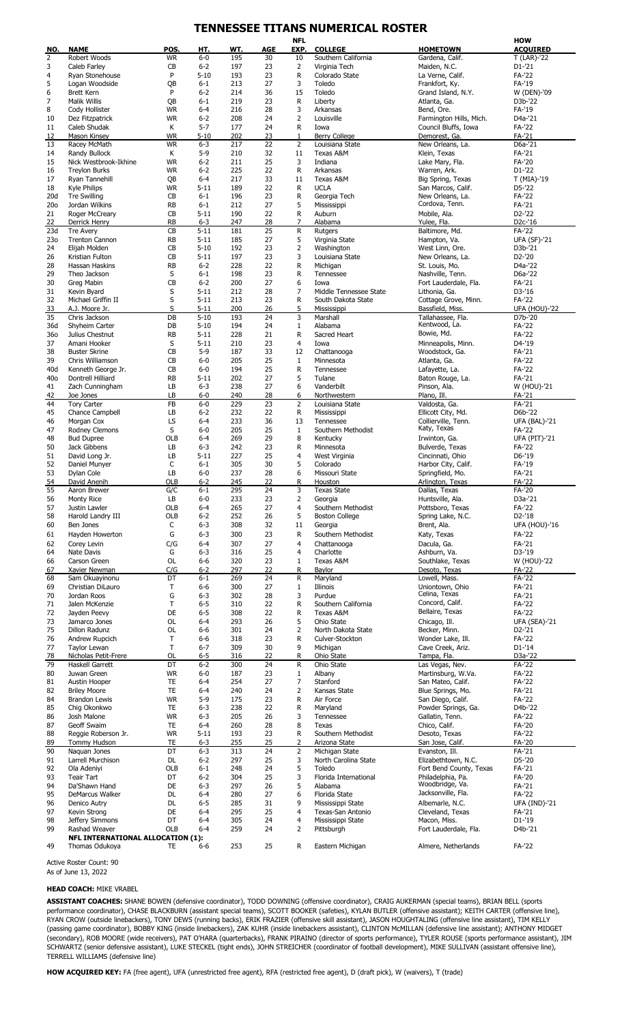## **TENNESSEE TITANS NUMERICAL ROSTER**

|                       |                                          |                 |                     |            |          | <b>NFL</b>           |                                        |                                         | <b>HOW</b>                    |
|-----------------------|------------------------------------------|-----------------|---------------------|------------|----------|----------------------|----------------------------------------|-----------------------------------------|-------------------------------|
| NO.                   | <b>NAME</b>                              | POS.            | HT.                 | WT.        | AGE      | <b>EXP</b>           | <b>COLLEGE</b>                         | <b>HOMETOWN</b>                         | <b>ACQUIRED</b>               |
| 2<br>3                | Robert Woods<br>Caleb Farley             | <b>WR</b><br>CB | $6-0$<br>$6 - 2$    | 195<br>197 | 30<br>23 | 10<br>$\overline{2}$ | Southern California<br>Virginia Tech   | Gardena, Calif.<br>Maiden, N.C.         | T (LAR)-'22<br>D1-'21         |
| 4                     | Ryan Stonehouse                          | P               | $5 - 10$            | 193        | 23       | R                    | Colorado State                         | La Verne, Calif.                        | FA-'22                        |
| 5                     | Logan Woodside                           | <b>QB</b>       | $6 - 1$             | 213        | 27       | 3                    | Toledo                                 | Frankfort, Ky.                          | FA-'19                        |
| 6                     | <b>Brett Kern</b>                        | P               | $6 - 2$             | 214        | 36       | 15                   | Toledo                                 | Grand Island, N.Y.                      | W (DEN)-'09                   |
| 7                     | <b>Malik Willis</b>                      | <b>QB</b>       | $6 - 1$             | 219        | 23       | R                    | Liberty                                | Atlanta, Ga.                            | D3b-'22                       |
| 8                     | Cody Hollister                           | WR              | $6-4$               | 216        | 28       | 3                    | Arkansas                               | Bend, Ore.                              | FA-'19                        |
| 10                    | Dez Fitzpatrick                          | <b>WR</b>       | $6 - 2$             | 208        | 24       | $\overline{2}$       | Louisville                             | Farmington Hills, Mich.                 | D4a-'21                       |
| 11                    | Caleb Shudak                             | К<br><b>WR</b>  | $5 - 7$             | 177        | 24       | R                    | Iowa                                   | Council Bluffs, Iowa                    | FA-'22                        |
| 12<br>13              | Mason Kinsey<br>Racey McMath             | <b>WR</b>       | $5 - 10$<br>$6 - 3$ | 202<br>217 | 23<br>22 | 1<br>$\overline{2}$  | Berry College<br>Louisiana State       | Demorest, Ga.<br>New Orleans, La.       | FA-'21<br>D6a-'21             |
| 14                    | Randy Bullock                            | К               | $5-9$               | 210        | 32       | 11                   | Texas A&M                              | Klein, Texas                            | FA-'21                        |
| 15                    | Nick Westbrook-Ikhine                    | <b>WR</b>       | $6 - 2$             | 211        | 25       | 3                    | Indiana                                | Lake Mary, Fla.                         | FA-'20                        |
| 16                    | <b>Trevlon Burks</b>                     | <b>WR</b>       | $6 - 2$             | 225        | 22       | R                    | Arkansas                               | Warren, Ark.                            | D1-'22                        |
| 17                    | Ryan Tannehill                           | <b>QB</b>       | $6 - 4$             | 217        | 33       | 11                   | Texas A&M                              | Big Spring, Texas                       | T (MIA)-'19                   |
| 18                    | Kyle Philips                             | WR              | $5 - 11$            | 189        | 22       | $\mathsf R$          | <b>UCLA</b>                            | San Marcos, Calif.                      | D5-'22                        |
| 20d                   | <b>Tre Swilling</b>                      | CB              | $6 - 1$             | 196        | 23       | R                    | Georgia Tech                           | New Orleans, La.<br>Cordova, Tenn.      | FA-'22                        |
| 20 <sub>o</sub><br>21 | Jordan Wilkins                           | <b>RB</b><br>CB | $6-1$<br>$5 - 11$   | 212<br>190 | 27<br>22 | 5<br>R               | Mississippi<br>Auburn                  |                                         | FA-'21<br>D <sub>2</sub> -'22 |
| 22                    | Roger McCreary<br>Derrick Henry          | <b>RB</b>       | $6 - 3$             | 247        | 28       | 7                    | Alabama                                | Mobile, Ala.<br>Yulee, Fla.             | D <sub>2</sub> c-'16          |
| 23d                   | <b>Tre Avery</b>                         | CB              | $5 - 11$            | 181        | 25       | ${\sf R}$            | <b>Rutgers</b>                         | Baltimore, Md.                          | FA-'22                        |
| 23o                   | <b>Trenton Cannon</b>                    | <b>RB</b>       | $5 - 11$            | 185        | 27       | 5                    | Virginia State                         | Hampton, Va.                            | <b>UFA (SF)-'21</b>           |
| 24                    | Elijah Molden                            | CB              | $5 - 10$            | 192        | 23       | $\overline{2}$       | Washington                             | West Linn, Ore.                         | D3b-'21                       |
| 26                    | Kristian Fulton                          | CB              | $5 - 11$            | 197        | 23       | 3                    | Louisiana State                        | New Orleans, La.                        | D2-'20                        |
| 28                    | Hassan Haskins                           | <b>RB</b>       | $6 - 2$             | 228        | 22       | R                    | Michigan                               | St. Louis, Mo.                          | D4a-'22                       |
| 29                    | Theo Jackson                             | S               | $6 - 1$             | 198        | 23       | R                    | Tennessee                              | Nashville, Tenn.                        | D6a-'22                       |
| 30<br>31              | Greg Mabin<br>Kevin Bvard                | СB<br>S         | $6 - 2$<br>$5 - 11$ | 200<br>212 | 27<br>28 | 6<br>7               | Iowa<br>Middle Tennessee State         | Fort Lauderdale, Fla.<br>Lithonia, Ga.  | FA-'21<br>D3-'16              |
| 32                    | Michael Griffin II                       | S               | $5 - 11$            | 213        | 23       | R                    | South Dakota State                     | Cottage Grove, Minn.                    | FA-'22                        |
| 33                    | A.J. Moore Jr.                           | S               | $5 - 11$            | 200        | 26       | 5                    | Mississippi                            | Bassfield, Miss.                        | UFA (HOU)-'22                 |
| 35                    | Chris Jackson                            | DB              | $5 - 10$            | 193        | 24       | 3                    | Marshall                               | Tallahassee, Fla.                       | D7b-'20                       |
| 36d                   | Shyheim Carter                           | DB              | $5 - 10$            | 194        | 24       | 1                    | Alabama                                | Kentwood, La.                           | FA-'22                        |
| 360                   | Julius Chestnut                          | <b>RB</b>       | $5 - 11$            | 228        | 21       | R                    | Sacred Heart                           | Bowie, Md.                              | FA-'22                        |
| 37                    | Amani Hooker                             | S               | $5 - 11$            | 210        | 23       | $\overline{4}$       | Iowa                                   | Minneapolis, Minn.                      | D4-'19                        |
| 38                    | <b>Buster Skrine</b>                     | CВ              | $5-9$               | 187        | 33       | 12                   | Chattanooga                            | Woodstock, Ga.                          | FA-'21                        |
| 39                    | Chris Williamson                         | CB              | $6-0$               | 205        | 25       | 1                    | Minnesota                              | Atlanta, Ga.                            | FA-'22                        |
| 40d<br>40o            | Kenneth George Jr.<br>Dontrell Hilliard  | CB<br><b>RB</b> | $6-0$<br>$5 - 11$   | 194<br>202 | 25<br>27 | R<br>5               | Tennessee<br>Tulane                    | Lafayette, La.                          | FA-'22<br>FA-'21              |
| 41                    | Zach Cunningham                          | LB              | $6 - 3$             | 238        | 27       | 6                    | Vanderbilt                             | Baton Rouge, La.<br>Pinson, Ala.        | W (HOU)-'21                   |
| 42                    | Joe Jones                                | LB              | $6-0$               | 240        | 28       | 6                    | Northwestern                           | Plano, Ill.                             | FA-'21                        |
| 44                    | <b>Tory Carter</b>                       | FB              | $6-0$               | 229        | 23       | $\overline{2}$       | Louisiana State                        | Valdosta, Ga.                           | FA-'21                        |
| 45                    | Chance Campbell                          | LB              | $6 - 2$             | 232        | 22       | R                    | Mississippi                            | Ellicott City, Md.                      | D6b-'22                       |
| 46                    | Morgan Cox                               | LS              | $6 - 4$             | 233        | 36       | 13                   | Tennessee                              | Collierville, Tenn.                     | <b>UFA (BAL)-'21</b>          |
| 47                    | Rodney Clemons                           | S               | $6-0$               | 205        | 25       | 1                    | Southern Methodist                     | Katy, Texas                             | FA-'22                        |
| 48                    | <b>Bud Dupree</b>                        | <b>OLB</b>      | $6 - 4$             | 269        | 29       | 8                    | Kentucky                               | Irwinton, Ga.                           | <b>UFA (PIT)-'21</b>          |
| 50                    | Jack Gibbens                             | LB              | $6 - 3$             | 242        | 23       | R                    | Minnesota                              | Bulverde, Texas                         | FA-'22                        |
| 51<br>52              | David Long Jr.<br>Daniel Munyer          | LB<br>C         | $5 - 11$<br>$6 - 1$ | 227<br>305 | 25<br>30 | $\overline{4}$<br>5  | West Virginia<br>Colorado              | Cincinnati, Ohio<br>Harbor City, Calif. | D6-'19<br>FA-'19              |
| 53                    | Dylan Cole                               | LB              | $6-0$               | 237        | 28       | 6                    | Missouri State                         | Springfield, Mo.                        | FA-'21                        |
| 54                    | David Anenih                             | <b>OLB</b>      | $6 - 2$             | 245        | 22       | R                    | Houston                                | Arlington, Texas                        | FA-'22                        |
| 55                    | Aaron Brewer                             | G/C             | $6 - 1$             | 295        | 24       | 3                    | <b>Texas State</b>                     | Dallas, Texas                           | FA-'20                        |
| 56                    | Monty Rice                               | LB              | $6-0$               | 233        | 23       | $\overline{2}$       | Georgia                                | Huntsville, Ala.                        | D3a-'21                       |
| 57                    | Justin Lawler                            | OLB             | $6 - 4$             | 265        | 27       | $\overline{4}$       | Southern Methodist                     | Pottsboro, Texas                        | <b>FA-'22</b>                 |
| 58                    | Harold Landry III                        | OLB             | $6 - 2$             | 252        | 26       | 5                    | <b>Boston College</b>                  | Spring Lake, N.C.                       | D2-'18                        |
| 60                    | Ben Jones                                | C               | $6 - 3$             | 308        | 32       | 11                   | Georgia                                | Brent, Ala.                             | UFA (HOU)-'16                 |
| 61                    | Hayden Howerton                          | G               | $6 - 3$             | 300        | 23       | R                    | Southern Methodist                     | Katy, Texas                             | <b>FA-'22</b>                 |
| 62                    | Corey Levin                              | C/G             | $6 - 4$             | 307        | 27       | 4                    | Chattanooga                            | Dacula, Ga.                             | FA-'21                        |
| 64<br>66              | Nate Davis<br>Carson Green               | G<br>OL         | $6 - 3$<br>6-6      | 316<br>320 | 25<br>23 | $\overline{4}$<br>1  | Charlotte<br>Texas A&M                 | Ashburn, Va.<br>Southlake, Texas        | D3-'19<br>W (HOU)-'22         |
| 67                    | Xavier Newman                            | C/G             | $6 - 2$             | 297        | 22       | R                    | Baylor                                 | Desoto, Texas                           | FA-'22                        |
| 68                    | Sam Okuayinonu                           | DT              | $6 - 1$             | 269        | 24       | R                    | Maryland                               | Lowell, Mass.                           | FA-'22                        |
| 69                    | Christian DiLauro                        | Т               | 6-6                 | 300        | 27       | $\mathbf{1}$         | Illinois                               | Uniontown, Ohio                         | FA-'21                        |
| 70                    | Jordan Roos                              | G               | $6 - 3$             | 302        | 28       | 3                    | Purdue                                 | Celina, Texas                           | FA-'21                        |
| 71                    | Jalen McKenzie                           | T               | $6 - 5$             | 310        | 22       | R                    | Southern California                    | Concord, Calif.                         | FA-'22                        |
| 72                    | Jayden Peevy                             | DE              | $6 - 5$             | 308        | 22       | R                    | Texas A&M                              | Bellaire, Texas                         | FA-'22                        |
| 73                    | Jamarco Jones                            | OL              | $6-4$               | 293        | 26       | 5                    | Ohio State                             | Chicago, Ill.                           | UFA (SEA)-'21                 |
| 75<br>76              | Dillon Radunz<br>Andrew Rupcich          | OL<br>T         | $6-6$<br>$6-6$      | 301<br>318 | 24<br>23 | $\overline{2}$<br>R  | North Dakota State<br>Culver-Stockton  | Becker, Minn.<br>Wonder Lake, Ill.      | D2-'21<br>FA-'22              |
| 77                    | <b>Taylor Lewan</b>                      | T               | $6 - 7$             | 309        | 30       | 9                    | Michigan                               | Cave Creek, Ariz.                       | $D1 - 14$                     |
| 78                    | Nicholas Petit-Frere                     | <b>OL</b>       | $6 - 5$             | 316        | 22       | R                    | Ohio State                             | Tampa, Fla.                             | D3a-'22                       |
| 79                    | Haskell Garrett                          | DT              | $6 - 2$             | 300        | 24       | R                    | Ohio State                             | Las Vegas, Nev.                         | <b>FA-'22</b>                 |
| 80                    | Juwan Green                              | <b>WR</b>       | $6-0$               | 187        | 23       | $\mathbf{1}$         | Albany                                 | Martinsburg, W.Va.                      | <b>FA-'22</b>                 |
| 81                    | Austin Hooper                            | TE              | $6-4$               | 254        | 27       | 7                    | Stanford                               | San Mateo, Calif.                       | FA-'22                        |
| 82                    | <b>Briley Moore</b>                      | TE              | $6 - 4$             | 240        | 24       | $\overline{2}$       | Kansas State                           | Blue Springs, Mo.                       | FA-'21                        |
| 84                    | <b>Brandon Lewis</b>                     | <b>WR</b>       | $5-9$               | 175        | 23       | R                    | Air Force                              | San Diego, Calif.                       | <b>FA-'22</b>                 |
| 85                    | Chig Okonkwo                             | TE              | $6 - 3$             | 238        | 22       | R                    | Maryland                               | Powder Springs, Ga.                     | D4b-'22                       |
| 86                    | Josh Malone                              | <b>WR</b>       | $6 - 3$             | 205        | 26       | 3                    | Tennessee                              | Gallatin, Tenn.                         | <b>FA-'22</b>                 |
| 87<br>88              | Geoff Swaim<br>Reggie Roberson Jr.       | TE<br><b>WR</b> | $6-4$<br>$5 - 11$   | 260<br>193 | 28<br>23 | 8<br>R               | Texas<br>Southern Methodist            | Chico, Calif.<br>Desoto, Texas          | FA-'20<br>FA-'22              |
| 89                    | Tommy Hudson                             | <b>TE</b>       | $6 - 3$             | 255        | 25       | 2                    | Arizona State                          | San Jose, Calif.                        | FA-'20                        |
| 90                    | Naguan Jones                             | DT              | $6 - 3$             | 313        | 24       | $\overline{2}$       | Michigan State                         | Evanston, Ill.                          | FA-'21                        |
| 91                    | Larrell Murchison                        | DL              | $6 - 2$             | 297        | 25       | 3                    | North Carolina State                   | Elizabethtown, N.C.                     | D5-'20                        |
| 92                    | Ola Adeniyi                              | OLB             | $6 - 1$             | 248        | 24       | 5                    | Toledo                                 | Fort Bend County, Texas                 | FA-'21                        |
| 93                    | Teair Tart                               | DT              | $6 - 2$             | 304        | 25       | 3                    | Florida International                  | Philadelphia, Pa.                       | FA-'20                        |
| 94                    | Da'Shawn Hand                            | DE              | $6 - 3$             | 297        | 26       | 5                    | Alabama                                | Woodbridge, Va.                         | FA-'21                        |
| 95                    | DeMarcus Walker                          | DL              | $6-4$               | 280        | 27       | 6                    | Florida State                          | Jacksonville, Fla.                      | FA-'22                        |
| 96                    | Denico Autry                             | DL              | $6 - 5$             | 285        | 31       | 9                    | Mississippi State                      | Albemarle, N.C.                         | <b>UFA (IND)-'21</b>          |
| 97<br>98              | Kevin Strong<br>Jeffery Simmons          | DE<br>DT        | $6-4$<br>$6 - 4$    | 295<br>305 | 25<br>24 | $\overline{4}$<br>4  | Texas-San Antonio<br>Mississippi State | Cleveland, Texas<br>Macon, Miss.        | FA-'21<br>D1-'19              |
| 99                    | Rashad Weaver                            | OLB             | $6-4$               | 259        | 24       | $\overline{2}$       | Pittsburgh                             | Fort Lauderdale, Fla.                   | D4b-'21                       |
|                       | <b>NFL INTERNATIONAL ALLOCATION (1):</b> |                 |                     |            |          |                      |                                        |                                         |                               |
| 49                    | Thomas Odukoya                           | <b>TE</b>       | 6-6                 | 253        | 25       | R                    | Eastern Michigan                       | Almere, Netherlands                     | FA-'22                        |

Active Roster Count: 90

As of June 13, 2022

### **HEAD COACH:** MIKE VRABEL

**ASSISTANT COACHES:** SHANE BOWEN (defensive coordinator), TODD DOWNING (offensive coordinator), CRAIG AUKERMAN (special teams), BRIAN BELL (sports performance coordinator), CHASE BLACKBURN (assistant special teams), SCOTT BOOKER (safeties), KYLAN BUTLER (offensive assistant); KEITH CARTER (offensive line), RYAN CROW (outside linebackers), TONY DEWS (running backs), ERIK FRAZIER (offensive skill assistant), JASON HOUGHTALING (offensive line assistant), TIM KELLY (passing game coordinator), BOBBY KING (inside linebackers), ZAK KUHR (inside linebackers assistant), CLINTON McMILLAN (defensive line assistant); ANTHONY MIDGET (secondary), ROB MOORE (wide receivers), PAT O'HARA (quarterbacks), FRANK PIRAINO (director of sports performance), TYLER ROUSE (sports performance assistant), JIM SCHWARTZ (senior defensive assistant), LUKE STECKEL (tight ends), JOHN STREICHER (coordinator of football development), MIKE SULLIVAN (assistant offensive line), TERRELL WILLIAMS (defensive line)

**HOW ACQUIRED KEY:** FA (free agent), UFA (unrestricted free agent), RFA (restricted free agent), D (draft pick), W (waivers), T (trade)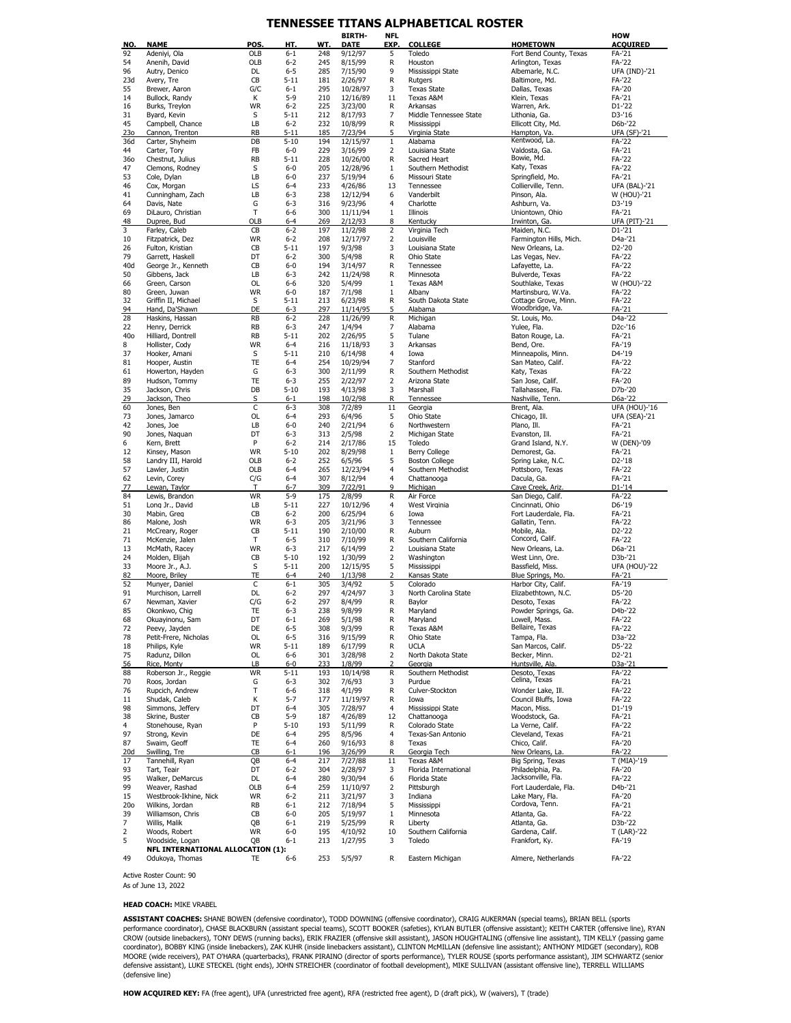### **TENNESSEE TITANS ALPHABETICAL ROSTER**

|            |                                   |                 |                     |            | <b>BIRTH-</b>       | <b>NFL</b>     |                                 |                                         | HOW                  |
|------------|-----------------------------------|-----------------|---------------------|------------|---------------------|----------------|---------------------------------|-----------------------------------------|----------------------|
| NO.        | <b>NAME</b>                       | POS.            | HT.                 | WT.        | <b>DATE</b>         | EXP.           | <b>COLLEGE</b>                  | <b>HOMETOWN</b>                         | <b>ACQUIRED</b>      |
| 92         | Adeniyi, Ola                      | OLB             | $6 - 1$             | 248        | 9/12/97             | 5              | Toledo                          | Fort Bend County, Texas                 | FA-'21               |
| 54         | Anenih, David                     | OLB             | $6 - 2$             | 245        | 8/15/99             | R              | Houston                         | Arlington, Texas                        | FA-'22               |
| 96         | Autry, Denico                     | DL              | $6 - 5$             | 285        | 7/15/90             | 9              | Mississippi State               | Albemarle, N.C.                         | <b>UFA (IND)-'21</b> |
| 23d        | Avery, Tre                        | CB              | $5 - 11$            | 181        | 2/26/97             | R              | Rutaers                         | Baltimore, Md.                          | FA-'22               |
| 55         | Brewer, Aaron                     | G/C             | $6 - 1$             | 295        | 10/28/97            | 3              | <b>Texas State</b>              | Dallas, Texas                           | FA-'20               |
| 14         | Bullock, Randy                    | К               | $5-9$               | 210        | 12/16/89            | 11             | Texas A&M                       | Klein, Texas                            | FA-'21               |
| 16         | Burks, Treylon                    | <b>WR</b>       | $6 - 2$             | 225        | 3/23/00             | R              | Arkansas                        | Warren, Ark.                            | D1-'22               |
| 31         | Byard, Kevin                      | S               | $5 - 11$            | 212        | 8/17/93             | $\overline{7}$ | Middle Tennessee State          | Lithonia, Ga.                           | D3-'16               |
| 45         | Campbell, Chance                  | LB<br><b>RB</b> | $6 - 2$<br>$5 - 11$ | 232<br>185 | 10/8/99             | R<br>5         | Mississippi                     | Ellicott City, Md.<br>Hampton, Va.      | D6b-'22              |
| 230<br>36d | Cannon, Trenton                   | DB              | $5 - 10$            | 194        | 7/23/94             | $1\,$          | Virginia State                  | Kentwood, La.                           | <b>UFA (SF)-'21</b>  |
|            | Carter, Shyheim                   |                 |                     |            | 12/15/97            |                | Alabama                         |                                         | FA-'22               |
| 44<br>360  | Carter, Tory                      | FB<br><b>RB</b> | $6-0$<br>$5 - 11$   | 229<br>228 | 3/16/99<br>10/26/00 | 2<br>R         | Louisiana State<br>Sacred Heart | Valdosta, Ga.<br>Bowie, Md.             | FA-'21<br>FA-'22     |
| 47         | Chestnut, Julius                  | S               | $6 - 0$             | 205        |                     | $1\,$          |                                 | Katy, Texas                             | FA-'22               |
| 53         | Clemons, Rodney                   | LB              | $6 - 0$             | 237        | 12/28/96            | 6              | Southern Methodist              |                                         |                      |
|            | Cole, Dylan                       | LS              | $6 - 4$             |            | 5/19/94             |                | Missouri State                  | Springfield, Mo.                        | FA-'21               |
| 46         | Cox, Morgan                       | LB              | $6 - 3$             | 233        | 4/26/86             | 13             | Tennessee                       | Collierville, Tenn.                     | <b>UFA (BAL)-'21</b> |
| 41         | Cunningham, Zach                  |                 |                     | 238        | 12/12/94            | 6<br>4         | Vanderbilt                      | Pinson, Ala.                            | W (HOU)-'21          |
| 64         | Davis, Nate                       | G               | $6 - 3$             | 316        | 9/23/96             |                | Charlotte<br>Illinois           | Ashburn, Va.                            | D3-'19               |
| 69         | DiLauro, Christian                | Т               | $6 - 6$             | 300        | 11/11/94            | $1\,$          |                                 | Uniontown, Ohio                         | FA-'21               |
| 48<br>3    | Dupree, Bud                       | OLB             | $6 - 4$             | 269        | 2/12/93             | 8              | Kentucky                        | Irwinton, Ga.                           | <b>UFA (PIT)-'21</b> |
| 10         | Farley, Caleb                     | CB<br><b>WR</b> | $6 - 2$<br>$6 - 2$  | 197<br>208 | 11/2/98             | 2              | Virginia Tech<br>Louisville     | Maiden, N.C.                            | D1-'21<br>D4a-'21    |
|            | Fitzpatrick, Dez                  | CB              | $5 - 11$            | 197        | 12/17/97            | 2<br>3         |                                 | Farmington Hills, Mich.                 | D2-'20               |
| 26<br>79   | Fulton, Kristian                  | DT              | $6 - 2$             | 300        | 9/3/98              | R              | Louisiana State                 | New Orleans, La.                        |                      |
|            | Garrett, Haskell                  |                 | $6 - 0$             | 194        | 5/4/98              | $\mathsf{R}$   | Ohio State                      | Las Vegas, Nev.                         | FA-'22               |
| 40d<br>50  | George Jr., Kenneth               | CB<br>LB        | $6 - 3$             | 242        | 3/14/97             | $\mathsf{R}$   | Tennessee<br>Minnesota          | Lafayette, La.                          | FA-'22<br>FA-'22     |
|            | Gibbens, Jack                     |                 | $6 - 6$             |            | 11/24/98            | $\mathbf 1$    |                                 | Bulverde, Texas                         |                      |
| 66         | Green, Carson                     | OL              |                     | 320        | 5/4/99              |                | Texas A&M                       | Southlake, Texas                        | W (HOU)-'22          |
| 80         | Green, Juwan                      | <b>WR</b>       | $6 - 0$             | 187        | 7/1/98              | $\mathbf 1$    | Albany                          | Martinsburg, W.Va.                      | FA-'22               |
| 32         | Griffin II, Michael               | S               | $5 - 11$            | 213        | 6/23/98             | R              | South Dakota State              | Cottage Grove, Minn.<br>Woodbridge, Va. | FA-'22               |
| 94<br>28   | Hand, Da'Shawn                    | DE              | $6 - 3$             | 297        | 11/14/95            | 5              | Alabama                         |                                         | FA-'21               |
|            | Haskins, Hassan                   | <b>RB</b>       | $6 - 2$             | 228        | 11/26/99            | R              | Michigan                        | St. Louis, Mo.                          | D4a-'22              |
| 22         | Henry, Derrick                    | <b>RB</b>       | $6 - 3$             | 247        | 1/4/94              | 7              | Alabama                         | Yulee, Fla.                             | D <sub>2</sub> c-'16 |
| 40o        | Hilliard, Dontrell                | <b>RB</b>       | $5 - 11$            | 202        | 2/26/95             | 5              | Tulane                          | Baton Rouge, La.                        | FA-'21               |
| 8          | Hollister, Cody                   | <b>WR</b>       | $6 - 4$             | 216        | 11/18/93            | 3              | Arkansas                        | Bend, Ore.                              | FA-'19               |
| 37         | Hooker, Amani                     | S               | $5 - 11$            | 210        | 6/14/98             | 4              | Iowa                            | Minneapolis, Minn.                      | D4-'19               |
| 81         | Hooper, Austin                    | <b>TE</b>       | $6 - 4$             | 254        | 10/29/94            | $\overline{7}$ | Stanford                        | San Mateo, Calif.                       | FA-'22               |
| 61         | Howerton, Hayden                  | G               | $6 - 3$             | 300        | 2/11/99             | R              | Southern Methodist              | Katy, Texas                             | FA-'22               |
| 89         | Hudson, Tommy                     | TE              | $6 - 3$             | 255        | 2/22/97             | $\overline{2}$ | Arizona State                   | San Jose, Calif.                        | FA-'20               |
| 35         | Jackson, Chris                    | DB              | $5 - 10$            | 193        | 4/13/98             | 3              | Marshall                        | Tallahassee, Fla.                       | D7b-'20              |
| 29         | Jackson, Theo                     | S               | $6 - 1$             | 198        | 10/2/98             | R              | Tennessee                       | Nashville, Tenn.                        | D6a-'22              |
| 60         | Jones, Ben                        | C               | $6 - 3$             | 308        | 7/2/89              | 11             | Georgia                         | Brent, Ala.                             | UFA (HOU)-'16        |
| 73         | Jones, Jamarco                    | OL              | $6 - 4$             | 293        | 6/4/96              | 5              | Ohio State                      | Chicago, Ill.                           | <b>UFA (SEA)-'21</b> |
| 42         | Jones, Joe                        | LB              | $6 - 0$             | 240        | 2/21/94             | 6              | Northwestern                    | Plano, Ill.                             | FA-'21               |
| 90         | Jones, Naguan                     | DT              | $6 - 3$             | 313        | 2/5/98              | $\overline{2}$ | Michigan State                  | Evanston, Ill.                          | FA-'21               |
| 6          | Kern, Brett                       | P               | $6 - 2$             | 214        | 2/17/86             | 15             | Toledo                          | Grand Island, N.Y.                      | W (DEN)-'09          |
| 12         | Kinsey, Mason                     | <b>WR</b>       | $5 - 10$            | 202        | 8/29/98             | $1\,$          | <b>Berry College</b>            | Demorest, Ga.                           | FA-'21               |
| 58         | Landry III, Harold                | OLB             | $6 - 2$             | 252        | 6/5/96              | 5              | <b>Boston College</b>           | Spring Lake, N.C.                       | D2-'18               |
| 57         | Lawler, Justin                    | OLB             | $6 - 4$             | 265        | 12/23/94            | 4              | Southern Methodist              | Pottsboro, Texas                        | FA-'22               |
| 62         | Levin, Corey                      | C/G             | $6 - 4$             | 307        | 8/12/94             | 4              | Chattanooga                     | Dacula, Ga.                             | FA-'21               |
| 77         | Lewan, Taylor                     | T               | $6 - 7$             | 309        | 7/22/91             | 9              | Michigan                        | Cave Creek, Ariz.                       | $D1 - 14$            |
| 84         | Lewis, Brandon                    | <b>WR</b>       | $5 - 9$             | 175        | 2/8/99              | $\mathsf R$    | Air Force                       | San Diego, Calif.                       | FA-'22               |
| 51         | Long Jr., David                   | LB              | $5 - 11$            | 227        | 10/12/96            | 4              | West Virginia                   | Cincinnati, Ohio                        | D6-'19               |
| 30         | Mabin, Greg                       | CB              | $6 - 2$             | 200        | 6/25/94             | 6              | Iowa                            | Fort Lauderdale, Fla.                   | FA-'21               |
| 86         | Malone, Josh                      | <b>WR</b>       | $6 - 3$             | 205        | 3/21/96             | 3              | Tennessee                       | Gallatin, Tenn.                         | FA-'22               |
| 21         | McCreary, Roger                   | CB              | $5 - 11$            | 190        | 2/10/00             | R              | Auburn                          | Mobile, Ala.                            | D <sub>2</sub> -'22  |
| 71         | McKenzie, Jalen                   | Т               | $6 - 5$             | 310        | 7/10/99             | $\mathsf{R}$   | Southern California             | Concord, Calif.                         | FA-'22               |
| 13         | McMath, Racey                     | <b>WR</b>       | $6 - 3$             | 217        | 6/14/99             | $\overline{2}$ | Louisiana State                 | New Orleans, La.                        | D6a-'21              |
| 24         | Molden, Elijah                    | CB              | $5 - 10$            | 192        | 1/30/99             | $\overline{2}$ | Washington                      | West Linn, Ore.                         | D3b-'21              |
| 33         | Moore Jr., A.J.                   | S               | $5 - 11$            | 200        | 12/15/95            | 5              | Mississippi                     | Bassfield, Miss.                        | UFA (HOU)-'22        |
| 82         | Moore, Briley                     | TE              | $6-4$               | 240        | 1/13/98             | 2              | Kansas State                    | Blue Springs, Mo.                       | FA-'21               |
| 52         | Munyer, Daniel                    | C               | $6 - 1$             | 305        | 3/4/92              | 5              | Colorado                        | Harbor City, Calif.                     | FA-'19               |
| 91         | Murchison, Larrell                | <b>DL</b>       | $6 - 2$             | 297        | 4/24/97             | 3              | North Carolina State            | Elizabethtown, N.C.                     | D5-'20               |
| 67         | Newman, Xavier                    | C/G             | $6 - 2$             | 297        | 8/4/99              | R              | Baylor                          | Desoto, Texas                           | FA-'22               |
| 85         | Okonkwo, Chig                     | TE              | $6 - 3$             | 238        | 9/8/99              | R              | Maryland                        | Powder Springs, Ga                      | D4b-'22              |
| 68         | Okuayinonu, Sam                   | DT              | $6 - 1$             | 269        | 5/1/98              | R              | Maryland                        | Lowell, Mass.                           | FA-'22               |
| 72         | Peevy, Jayden                     | DE              | $6 - 5$             | 308        | 9/3/99              | $\mathsf{R}$   | Texas A&M                       | Bellaire, Texas                         | <b>FA-'22</b>        |
| 78         | Petit-Frere, Nicholas             | OL              | $6 - 5$             | 316        | 9/15/99             | R              | Ohio State                      | Tampa, Fla.                             | D3a-'22              |
| 18         | Philips, Kyle                     | <b>WR</b>       | $5 - 11$            | 189        | 6/17/99             | R              | <b>UCLA</b>                     | San Marcos, Calif.                      | D5-'22               |
| 75         | Radunz, Dillon                    | OL              | 6-6                 | 301        | 3/28/98             | 2              | North Dakota State              | Becker, Minn.                           | D2-'21               |
| 56         | Rice, Monty                       | LB              | $6 - 0$             | 233        | 1/8/99              | $\overline{2}$ | Georgia                         | Huntsville, Ala                         | D3a-'21              |
| 88         | Roberson Jr., Reggie              | <b>WR</b>       | $5 - 11$            | 193        | 10/14/98            | R              | Southern Methodist              | Desoto, Texas                           | FA-'22               |
| 70         | Roos, Jordan                      | G               | $6 - 3$             | 302        | 7/6/93              | 3              | Purdue                          | Celina, Texas                           | FA-'21               |
| 76         | Rupcich, Andrew                   | Т               | $6-6$               | 318        | 4/1/99              | R              | Culver-Stockton                 | Wonder Lake, Ill.                       | <b>FA-'22</b>        |
| 11         | Shudak, Caleb                     | К               | $5 - 7$             | 177        | 11/19/97            | $\mathsf{R}$   | Iowa                            | Council Bluffs, Iowa                    | FA-'22               |
| 98         | Simmons, Jeffery                  | DT              | $6 - 4$             | 305        | 7/28/97             | 4              | Mississippi State               | Macon, Miss.                            | D1-'19               |
| 38         | Skrine, Buster                    | CB              | $5 - 9$             | 187        | 4/26/89             | 12             | Chattanooga                     | Woodstock, Ga.                          | FA-'21               |
| 4          | Stonehouse, Ryan                  | P               | $5 - 10$            | 193        | 5/11/99             | R              | Colorado State                  | La Verne, Calif.                        | FA-'22               |
| 97         | Strong, Kevin                     | DE              | $6 - 4$             | 295        | 8/5/96              | 4              | Texas-San Antonio               | Cleveland, Texas                        | FA-'21               |
| 87         | Swaim, Geoff                      | TE              | $6 - 4$             | 260        | 9/16/93             | 8              | Texas                           | Chico, Calif.                           | FA-'20               |
| 20d        | Swilling, Tre                     | CB              | $6 - 1$             | 196        | 3/26/99             | R              | Georgia Tech                    | New Orleans, La.                        | FA-'22               |
| 17         | Tannehill, Ryan                   | QB              | $6 - 4$             | 217        | 7/27/88             | 11             | Texas A&M                       | Big Spring, Texas                       | T (MIA)-'19          |
| 93         | Tart, Teair                       | DT              | $6 - 2$             | 304        | 2/28/97             | 3              | Florida International           | Philadelphia, Pa.                       | FA-'20               |
| 95         | Walker, DeMarcus                  | DL              | $6 - 4$             | 280        | 9/30/94             | 6              | Florida State                   | Jacksonville, Fla.                      | FA-'22               |
| 99         | Weaver, Rashad                    | OLB             | $6 - 4$             | 259        | 11/10/97            | 2              | Pittsburgh                      | Fort Lauderdale, Fla.                   | D4b-'21              |
| 15         | Westbrook-Ikhine, Nick            | <b>WR</b>       | $6 - 2$             | 211        | 3/21/97             | 3              | Indiana                         | Lake Mary, Fla.                         | FA-'20               |
| 20o        | Wilkins, Jordan                   | <b>RB</b>       | $6 - 1$             | 212        | 7/18/94             | 5              | Mississippi                     | Cordova, Tenn.                          | FA-'21               |
| 39         | Williamson, Chris                 | CB              | $6 - 0$             | 205        | 5/19/97             | $\mathbf{1}$   | Minnesota                       | Atlanta, Ga.                            | FA-'22               |
| 7          | Willis, Malik                     | QB              | $6 - 1$             | 219        | 5/25/99             | R              | Liberty                         | Atlanta, Ga.                            | D3b-'22              |
| 2          | Woods, Robert                     | <b>WR</b>       | $6-0$               | 195        | 4/10/92             | 10             | Southern California             | Gardena, Calif.                         | T (LAR)-'22          |
| 5          | Woodside, Logan                   | QB              | $6 - 1$             | 213        | 1/27/95             | 3              | Toledo                          | Frankfort, Ky.                          | FA-'19               |
|            | NFL INTERNATIONAL ALLOCATION (1): |                 |                     |            |                     |                |                                 |                                         |                      |
| 49         | Odukoya, Thomas                   | TE              | 6-6                 | 253        | 5/5/97              | R              | Eastern Michigan                | Almere, Netherlands                     | FA-'22               |

Active Roster Count: 90 As of June 13, 2022

#### **HEAD COACH:** MIKE VRABEL

**ASSISTANT COACHES:** SHANE BOWEN (defensive coordinator), TODD DOWNING (offensive coordinator), CRAIG AUKERMAN (special teams), BRIAN BELL (special teams), RRAN<br>CROW (outside linebackers), ARNE BUACKBURN (assistant special (defensive line)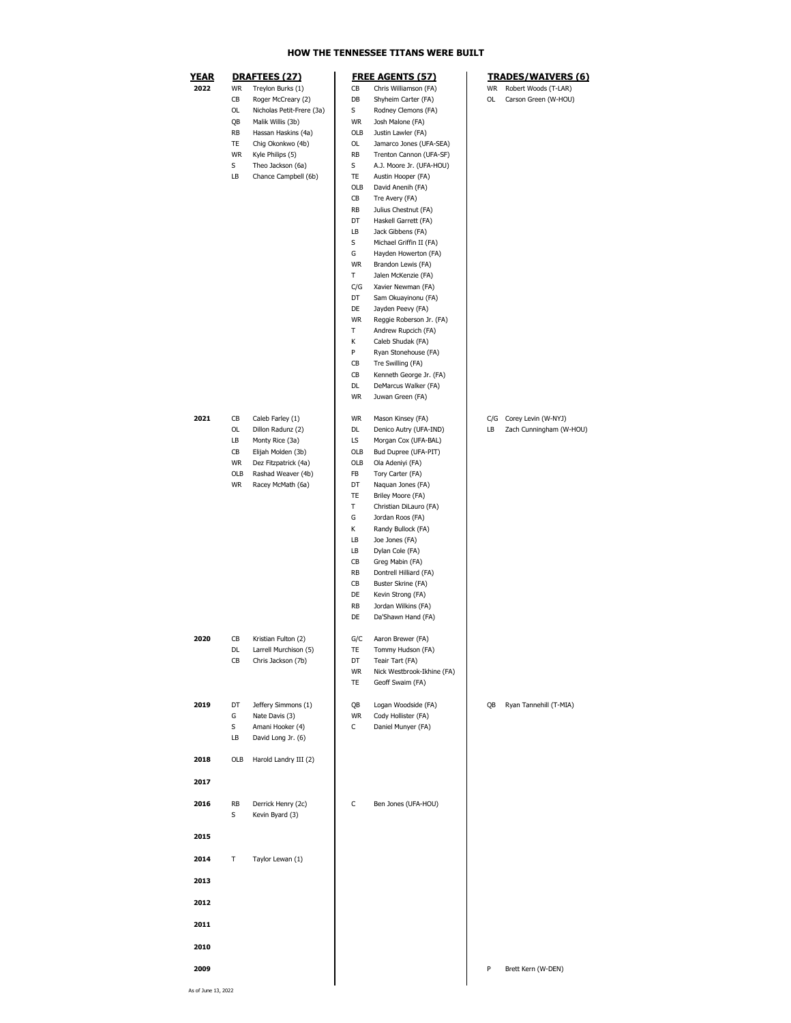### **HOW THE TENNESSEE TITANS WERE BUILT**

| 2022 |     | DRAFTEES (27)             |           | <b>FREE AGENTS (57)</b>    |    | <b>TRADES/WAIVERS (6)</b> |
|------|-----|---------------------------|-----------|----------------------------|----|---------------------------|
|      | WR  | Treylon Burks (1)         | CВ        | Chris Williamson (FA)      | WR | Robert Woods (T-LAR)      |
|      | CB  | Roger McCreary (2)        | DB        | Shyheim Carter (FA)        | OL | Carson Green (W-HOU)      |
|      | OL  | Nicholas Petit-Frere (3a) | S         | Rodney Clemons (FA)        |    |                           |
|      | QB  | Malik Willis (3b)         | WR        | Josh Malone (FA)           |    |                           |
|      | RB  | Hassan Haskins (4a)       | OLB       | Justin Lawler (FA)         |    |                           |
|      | TE  | Chig Okonkwo (4b)         | OL        | Jamarco Jones (UFA-SEA)    |    |                           |
|      | WR  | Kyle Philips (5)          | RB        | Trenton Cannon (UFA-SF)    |    |                           |
|      | S   | Theo Jackson (6a)         | s         | A.J. Moore Jr. (UFA-HOU)   |    |                           |
|      | LB  | Chance Campbell (6b)      | TE        | Austin Hooper (FA)         |    |                           |
|      |     |                           | OLB       | David Anenih (FA)          |    |                           |
|      |     |                           |           |                            |    |                           |
|      |     |                           | CВ        | Tre Avery (FA)             |    |                           |
|      |     |                           | RB        | Julius Chestnut (FA)       |    |                           |
|      |     |                           | DT        | Haskell Garrett (FA)       |    |                           |
|      |     |                           | LB        | Jack Gibbens (FA)          |    |                           |
|      |     |                           | S         | Michael Griffin II (FA)    |    |                           |
|      |     |                           | G         | Hayden Howerton (FA)       |    |                           |
|      |     |                           | <b>WR</b> | Brandon Lewis (FA)         |    |                           |
|      |     |                           | Τ         | Jalen McKenzie (FA)        |    |                           |
|      |     |                           | C/G       | Xavier Newman (FA)         |    |                           |
|      |     |                           | DT        | Sam Okuayinonu (FA)        |    |                           |
|      |     |                           | DE        | Jayden Peevy (FA)          |    |                           |
|      |     |                           | WR        | Reggie Roberson Jr. (FA)   |    |                           |
|      |     |                           | Т         | Andrew Rupcich (FA)        |    |                           |
|      |     |                           | Κ         | Caleb Shudak (FA)          |    |                           |
|      |     |                           | P         | Ryan Stonehouse (FA)       |    |                           |
|      |     |                           | СB        | Tre Swilling (FA)          |    |                           |
|      |     |                           |           |                            |    |                           |
|      |     |                           | CB        | Kenneth George Jr. (FA)    |    |                           |
|      |     |                           | DL        | DeMarcus Walker (FA)       |    |                           |
|      |     |                           | WR        | Juwan Green (FA)           |    |                           |
|      |     |                           |           |                            |    |                           |
| 2021 | СB  | Caleb Farley (1)          | WR        | Mason Kinsey (FA)          |    | C/G Corey Levin (W-NYJ)   |
|      | OL  | Dillon Radunz (2)         | DL        | Denico Autry (UFA-IND)     | LB | Zach Cunningham (W-HOU)   |
|      | LB  | Monty Rice (3a)           | LS        | Morgan Cox (UFA-BAL)       |    |                           |
|      | CB  | Elijah Molden (3b)        | OLB       | Bud Dupree (UFA-PIT)       |    |                           |
|      | WR  | Dez Fitzpatrick (4a)      | OLB       | Ola Adeniyi (FA)           |    |                           |
|      | OLB | Rashad Weaver (4b)        | FB        | Tory Carter (FA)           |    |                           |
|      | WR  | Racey McMath (6a)         | DT        | Naquan Jones (FA)          |    |                           |
|      |     |                           | TE        | Briley Moore (FA)          |    |                           |
|      |     |                           | т         | Christian DiLauro (FA)     |    |                           |
|      |     |                           | G         | Jordan Roos (FA)           |    |                           |
|      |     |                           | Κ         | Randy Bullock (FA)         |    |                           |
|      |     |                           | LB        | Joe Jones (FA)             |    |                           |
|      |     |                           |           |                            |    |                           |
|      |     |                           | LB        | Dylan Cole (FA)            |    |                           |
|      |     |                           | CB        | Greg Mabin (FA)            |    |                           |
|      |     |                           | RB        | Dontrell Hilliard (FA)     |    |                           |
|      |     |                           | CB        | Buster Skrine (FA)         |    |                           |
|      |     |                           | DE        | Kevin Strong (FA)          |    |                           |
|      |     |                           | RB        | Jordan Wilkins (FA)        |    |                           |
|      |     |                           | DE        | Da'Shawn Hand (FA)         |    |                           |
|      |     |                           |           |                            |    |                           |
| 2020 | CB  | Kristian Fulton (2)       | G/C       | Aaron Brewer (FA)          |    |                           |
|      | DL. | Larrell Murchison (5)     | 115       | Tommy Hudson (FA)          |    |                           |
|      | CB  | Chris Jackson (7b)        | DT        | Teair Tart (FA)            |    |                           |
|      |     |                           | WR        | Nick Westbrook-Ikhine (FA) |    |                           |
|      |     |                           | TE        | Geoff Swaim (FA)           |    |                           |
|      |     |                           |           |                            |    |                           |
|      | DT  |                           | QB        | Logan Woodside (FA)        | QB | Ryan Tannehill (T-MIA)    |
| 2019 |     | Jeffery Simmons (1)       |           | Cody Hollister (FA)        |    |                           |
|      | G   | Nate Davis (3)            | WR        |                            |    |                           |
|      | S   | Amani Hooker (4)          | C         | Daniel Munyer (FA)         |    |                           |
|      | LB  | David Long Jr. (6)        |           |                            |    |                           |
|      |     |                           |           |                            |    |                           |
| 2018 | OLB | Harold Landry III (2)     |           |                            |    |                           |
|      |     |                           |           |                            |    |                           |
| 2017 |     |                           |           |                            |    |                           |
| 2016 | RB  | Derrick Henry (2c)        | С         | Ben Jones (UFA-HOU)        |    |                           |
|      | S   | Kevin Byard (3)           |           |                            |    |                           |
| 2015 |     |                           |           |                            |    |                           |
| 2014 | т   | Taylor Lewan (1)          |           |                            |    |                           |
| 2013 |     |                           |           |                            |    |                           |
|      |     |                           |           |                            |    |                           |
| 2012 |     |                           |           |                            |    |                           |
| 2011 |     |                           |           |                            |    |                           |
| 2010 |     |                           |           |                            |    |                           |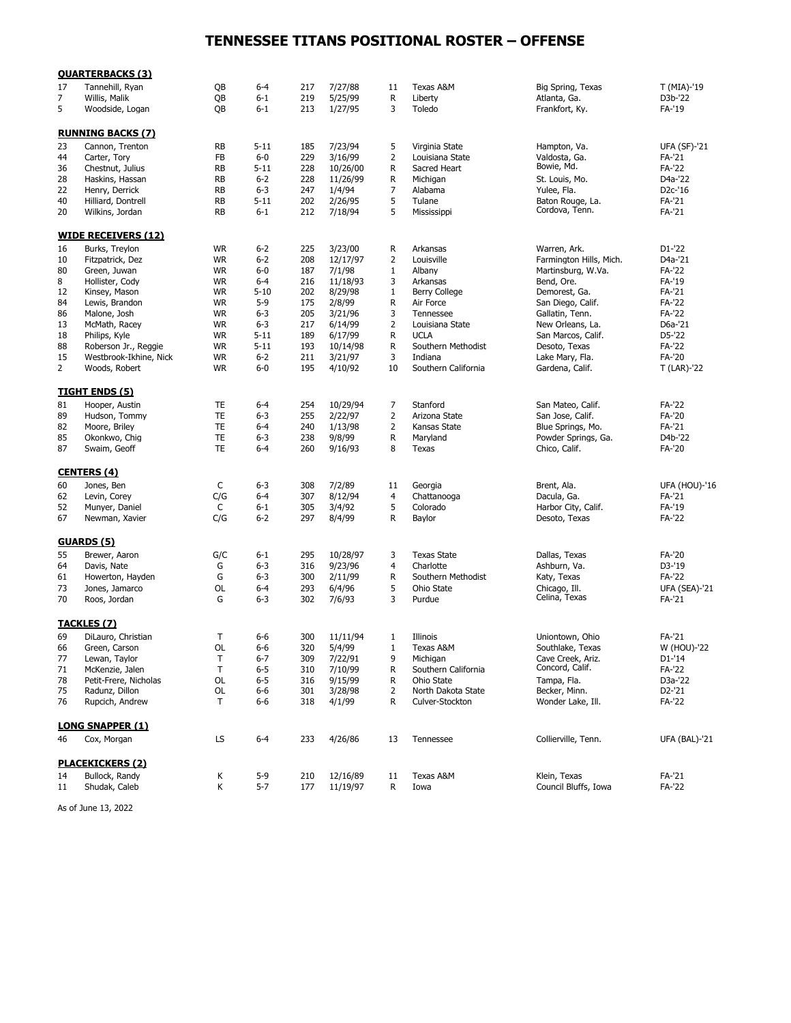# **TENNESSEE TITANS POSITIONAL ROSTER – OFFENSE**

|          | <b>QUARTERBACKS (3)</b>                |           |                  |            |                   |                |                                       |                                    |                      |
|----------|----------------------------------------|-----------|------------------|------------|-------------------|----------------|---------------------------------------|------------------------------------|----------------------|
| 17       | Tannehill, Ryan                        | QB        | $6 - 4$          | 217        | 7/27/88           | 11             | Texas A&M                             | Big Spring, Texas                  | T (MIA)-'19          |
| 7        | Willis, Malik                          | QB        | $6 - 1$          | 219        | 5/25/99           | R              | Liberty                               | Atlanta, Ga.                       | D3b-'22              |
| 5        | Woodside, Logan                        | QB        | $6 - 1$          | 213        | 1/27/95           | 3              | Toledo                                | Frankfort, Ky.                     | FA-'19               |
|          | <b>RUNNING BACKS (7)</b>               |           |                  |            |                   |                |                                       |                                    |                      |
| 23       | Cannon, Trenton                        | <b>RB</b> | $5 - 11$         | 185        | 7/23/94           | 5              | Virginia State                        | Hampton, Va.                       | <b>UFA (SF)-'21</b>  |
| 44       | Carter, Tory                           | FB        | $6-0$            | 229        | 3/16/99           | $\overline{2}$ | Louisiana State                       | Valdosta, Ga.                      | FA-'21               |
| 36       | Chestnut, Julius                       | <b>RB</b> | $5 - 11$         | 228        | 10/26/00          | R              | Sacred Heart                          | Bowie, Md.                         | FA-'22               |
| 28       | Haskins, Hassan                        | <b>RB</b> | $6 - 2$          | 228        | 11/26/99          | R              | Michigan                              | St. Louis, Mo.                     | D4a-'22              |
| 22       | Henry, Derrick                         | <b>RB</b> | $6 - 3$          | 247        | 1/4/94            | 7              | Alabama                               | Yulee, Fla.                        | D <sub>2</sub> c-'16 |
| 40       | Hilliard, Dontrell                     | <b>RB</b> | $5 - 11$         | 202        | 2/26/95           | 5              | Tulane                                | Baton Rouge, La.                   | FA-'21               |
| 20       | Wilkins, Jordan                        | <b>RB</b> | $6 - 1$          | 212        | 7/18/94           | 5              | Mississippi                           | Cordova, Tenn.                     | FA-'21               |
|          | <b>WIDE RECEIVERS (12)</b>             |           |                  |            |                   |                |                                       |                                    |                      |
| 16       | Burks, Treylon                         | <b>WR</b> | $6 - 2$          | 225        | 3/23/00           | R              | Arkansas                              | Warren, Ark.                       | D1-'22               |
| 10       | Fitzpatrick, Dez                       | <b>WR</b> | $6 - 2$          | 208        | 12/17/97          | $\overline{2}$ | Louisville                            | Farmington Hills, Mich.            | D4a-'21              |
| 80       | Green, Juwan                           | <b>WR</b> | $6-0$            | 187        | 7/1/98            | 1              | Albany                                | Martinsburg, W.Va.                 | FA-'22               |
| 8        | Hollister, Cody                        | <b>WR</b> | $6 - 4$          | 216        | 11/18/93          | 3              | Arkansas                              | Bend, Ore.                         | FA-'19               |
| 12       | Kinsey, Mason                          | <b>WR</b> | $5 - 10$         | 202        | 8/29/98           | $\mathbf{1}$   | Berry College                         | Demorest, Ga.                      | FA-'21               |
| 84       | Lewis, Brandon                         | <b>WR</b> | $5-9$            | 175        | 2/8/99            | R              | Air Force                             | San Diego, Calif.                  | FA-'22               |
| 86       | Malone, Josh                           | <b>WR</b> | $6 - 3$          | 205        | 3/21/96           | 3              | Tennessee                             | Gallatin, Tenn.                    | FA-'22               |
|          |                                        |           | $6 - 3$          | 217        |                   | $\overline{2}$ |                                       |                                    | D6a-'21              |
| 13       | McMath, Racey                          | <b>WR</b> |                  |            | 6/14/99           |                | Louisiana State                       | New Orleans, La.                   |                      |
| 18       | Philips, Kyle                          | <b>WR</b> | $5 - 11$         | 189        | 6/17/99           | R              | <b>UCLA</b>                           | San Marcos, Calif.                 | D5-'22               |
| 88       | Roberson Jr., Reggie                   | <b>WR</b> | $5 - 11$         | 193        | 10/14/98          | R              | Southern Methodist                    | Desoto, Texas                      | FA-'22               |
| 15       | Westbrook-Ikhine, Nick                 | <b>WR</b> | $6 - 2$          | 211        | 3/21/97           | 3              | Indiana                               | Lake Mary, Fla.                    | FA-'20               |
| 2        | Woods, Robert                          | <b>WR</b> | $6-0$            | 195        | 4/10/92           | 10             | Southern California                   | Gardena, Calif.                    | T (LAR)-'22          |
|          | <b>TIGHT ENDS (5)</b>                  |           |                  |            |                   |                |                                       |                                    |                      |
| 81       | Hooper, Austin                         | TE        | $6 - 4$          | 254        | 10/29/94          | 7              | Stanford                              | San Mateo, Calif.                  | FA-'22               |
| 89       | Hudson, Tommy                          | TE        | $6 - 3$          | 255        | 2/22/97           | $\overline{2}$ | Arizona State                         | San Jose, Calif.                   | FA-'20               |
| 82       | Moore, Briley                          | TE        | $6 - 4$          | 240        | 1/13/98           | $\mathbf 2$    | Kansas State                          | Blue Springs, Mo.                  | FA-'21               |
| 85       | Okonkwo, Chig                          | TE        | $6 - 3$          | 238        | 9/8/99            | R              | Maryland                              | Powder Springs, Ga.                | D4b-'22              |
| 87       | Swaim, Geoff                           | TE        | $6 - 4$          | 260        | 9/16/93           | 8              | Texas                                 | Chico, Calif.                      | FA-'20               |
|          | <b>CENTERS (4)</b>                     |           |                  |            |                   |                |                                       |                                    |                      |
| 60       | Jones, Ben                             | C         | $6 - 3$          | 308        | 7/2/89            | 11             | Georgia                               | Brent, Ala.                        | <b>UFA (HOU)-'16</b> |
| 62       | Levin, Corey                           | C/G       | $6 - 4$          | 307        | 8/12/94           | $\overline{4}$ | Chattanooga                           | Dacula, Ga.                        | FA-'21               |
| 52       | Munyer, Daniel                         | C         | $6 - 1$          | 305        | 3/4/92            | 5              | Colorado                              | Harbor City, Calif.                | FA-'19               |
| 67       |                                        | C/G       | $6 - 2$          | 297        | 8/4/99            | R              | Baylor                                | Desoto, Texas                      | FA-'22               |
|          | Newman, Xavier                         |           |                  |            |                   |                |                                       |                                    |                      |
|          | <u>GUARDS (5)</u>                      |           |                  |            |                   |                |                                       |                                    |                      |
| 55       | Brewer, Aaron                          | G/C       | $6 - 1$          | 295        | 10/28/97          | 3              | <b>Texas State</b>                    | Dallas, Texas                      | FA-'20               |
| 64       | Davis, Nate                            | G         | $6 - 3$          | 316        | 9/23/96           | 4              | Charlotte                             | Ashburn, Va.                       | D3-'19               |
| 61       | Howerton, Hayden                       | G         | $6 - 3$          | 300        | 2/11/99           | R              | Southern Methodist                    | Katy, Texas                        | FA-'22               |
| 73       | Jones, Jamarco                         | <b>OL</b> | $6 - 4$          | 293        | 6/4/96            | 5              | Ohio State                            | Chicago, Ill.                      | <b>UFA (SEA)-'21</b> |
| 70       | Roos, Jordan                           | G         | $6 - 3$          | 302        | 7/6/93            | 3              | Purdue                                | Celina, Texas                      | FA-'21               |
|          | TACKLES (7)                            |           |                  |            |                   |                |                                       |                                    |                      |
| 69       | DiLauro, Christian                     | Τ         | $6-6$            | 300        | 11/11/94          | 1              | Illinois                              | Uniontown, Ohio                    | FA-'21               |
| 66       | Green, Carson                          | OL        | $6 - 6$          | 320        | 5/4/99            | 1              | Texas A&M                             | Southlake, Texas                   | W (HOU)-'22          |
| 77       | Lewan, Taylor                          | т         | $6 - 7$          | 309        | 7/22/91           | 9              | Michigan                              | Cave Creek, Ariz.                  | D1-'14               |
| 71       | McKenzie, Jalen                        | Τ         | $6-5$            | 310        | 7/10/99           | R              | Southern California                   | Concord, Calif.                    | FA-'22               |
| 78       | Petit-Frere, Nicholas                  | OL        | $6 - 5$          | 316        | 9/15/99           |                | Ohio State                            | Tampa, Fla.                        | D3a-'22              |
|          |                                        |           |                  |            |                   | R              |                                       |                                    |                      |
| 75<br>76 | Radunz, Dillon<br>Rupcich, Andrew      | OL<br>Τ   | $6-6$<br>$6 - 6$ | 301<br>318 | 3/28/98<br>4/1/99 | 2<br>R         | North Dakota State<br>Culver-Stockton | Becker, Minn.<br>Wonder Lake, Ill. | D2-'21<br>FA-'22     |
|          |                                        |           |                  |            |                   |                |                                       |                                    |                      |
| 46       | <b>LONG SNAPPER (1)</b><br>Cox, Morgan | LS        | $6 - 4$          | 233        | 4/26/86           | 13             | Tennessee                             | Collierville, Tenn.                | <b>UFA (BAL)-'21</b> |
|          |                                        |           |                  |            |                   |                |                                       |                                    |                      |
|          | <b>PLACEKICKERS (2)</b>                |           |                  |            |                   |                |                                       |                                    |                      |
| 14       | Bullock, Randy                         | Κ         | $5-9$            | 210        | 12/16/89          | 11             | Texas A&M                             | Klein, Texas                       | FA-'21               |
| 11       | Shudak, Caleb                          | Κ         | $5 - 7$          | 177        | 11/19/97          | R              | Iowa                                  | Council Bluffs, Iowa               | FA-'22               |

As of June 13, 2022